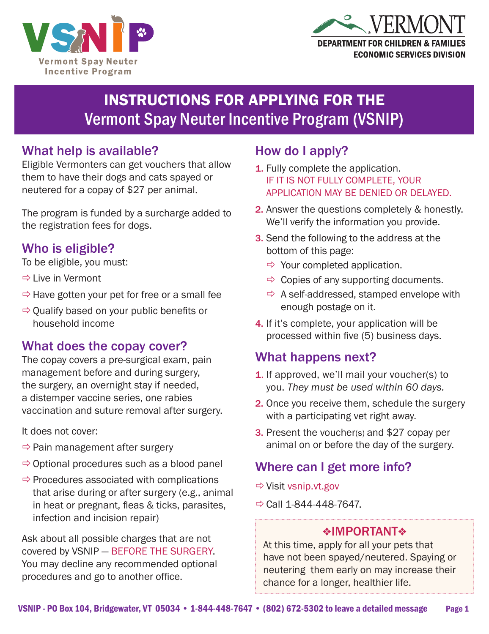



# INSTRUCTIONS FOR APPLYING FOR THE Vermont Spay Neuter Incentive Program (VSNIP)

### What help is available?

Eligible Vermonters can get vouchers that allow them to have their dogs and cats spayed or neutered for a copay of \$27 per animal.

The program is funded by a surcharge added to the registration fees for dogs.

### Who is eligible?

To be eligible, you must:

- $\Rightarrow$  Live in Vermont
- $\Rightarrow$  Have gotten your pet for free or a small fee
- $\Rightarrow$  Qualify based on your public benefits or household income

### What does the copay cover?

The copay covers a pre-surgical exam, pain management before and during surgery, the surgery, an overnight stay if needed, a distemper vaccine series, one rabies vaccination and suture removal after surgery.

It does not cover:

- $\Rightarrow$  Pain management after surgery
- $\Rightarrow$  Optional procedures such as a blood panel
- $\Rightarrow$  Procedures associated with complications that arise during or after surgery (e.g., animal in heat or pregnant, fleas & ticks, parasites, infection and incision repair)

Ask about all possible charges that are not covered by VSNIP — BEFORE THE SURGERY. You may decline any recommended optional procedures and go to another office.

## How do I apply?

- **1.** Fully complete the application. IF IT IS NOT FULLY COMPLETE, YOUR APPLICATION MAY BE DENIED OR DELAYED.
- 2. Answer the questions completely & honestly. We'll verify the information you provide.
- **3.** Send the following to the address at the bottom of this page:
	- $\Rightarrow$  Your completed application.
	- $\Rightarrow$  Copies of any supporting documents.
	- $\Rightarrow$  A self-addressed, stamped envelope with enough postage on it.
- 4. If it's complete, your application will be processed within five (5) business days.

## What happens next?

- **1.** If approved, we'll mail your voucher(s) to you. *They must be used within 60 days.*
- 2. Once you receive them, schedule the surgery with a participating vet right away.
- **3.** Present the voucher(s) and \$27 copay per animal on or before the day of the surgery.

# Where can I get more info?

- ÖVisit vsnip.vt.gov
- $\Rightarrow$  Call 1-844-448-7647.

#### **❖IMPORTANT❖**

At this time, apply for all your pets that have not been spayed/neutered. Spaying or neutering them early on may increase their chance for a longer, healthier life.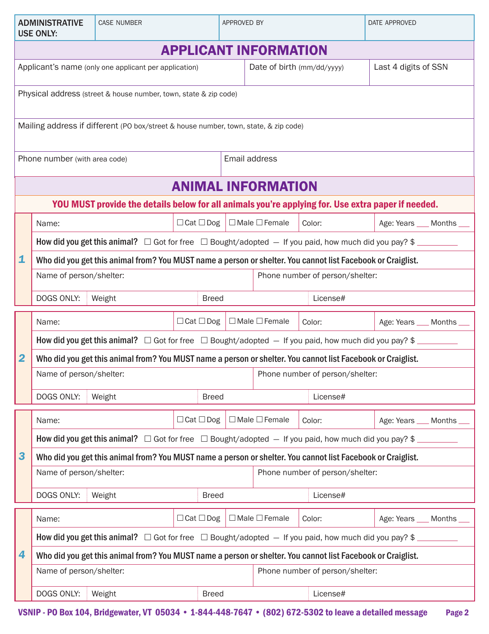| <b>ADMINISTRATIVE</b><br><b>USE ONLY:</b>                                                          |                                                                                                                  | <b>CASE NUMBER</b>                                    |                       | APPROVED BY                     |                                     |                                 | DATE APPROVED             |  |  |  |  |  |
|----------------------------------------------------------------------------------------------------|------------------------------------------------------------------------------------------------------------------|-------------------------------------------------------|-----------------------|---------------------------------|-------------------------------------|---------------------------------|---------------------------|--|--|--|--|--|
| <b>APPLICANT INFORMATION</b>                                                                       |                                                                                                                  |                                                       |                       |                                 |                                     |                                 |                           |  |  |  |  |  |
|                                                                                                    |                                                                                                                  | Applicant's name (only one applicant per application) |                       |                                 | Date of birth (mm/dd/yyyy)          |                                 | Last 4 digits of SSN      |  |  |  |  |  |
|                                                                                                    | Physical address (street & house number, town, state & zip code)                                                 |                                                       |                       |                                 |                                     |                                 |                           |  |  |  |  |  |
| Mailing address if different (PO box/street & house number, town, state, & zip code)               |                                                                                                                  |                                                       |                       |                                 |                                     |                                 |                           |  |  |  |  |  |
|                                                                                                    |                                                                                                                  |                                                       |                       |                                 |                                     |                                 |                           |  |  |  |  |  |
|                                                                                                    | Phone number (with area code)                                                                                    |                                                       | Email address         |                                 |                                     |                                 |                           |  |  |  |  |  |
| <b>ANIMAL INFORMATION</b>                                                                          |                                                                                                                  |                                                       |                       |                                 |                                     |                                 |                           |  |  |  |  |  |
| YOU MUST provide the details below for all animals you're applying for. Use extra paper if needed. |                                                                                                                  |                                                       |                       |                                 |                                     |                                 |                           |  |  |  |  |  |
| 1                                                                                                  | Name:                                                                                                            |                                                       | $\Box$ Cat $\Box$ Dog |                                 | $\Box$ Male $\Box$ Female<br>Color: |                                 | Age: Years ___ Months __  |  |  |  |  |  |
|                                                                                                    | How did you get this animal? $\Box$ Got for free $\Box$ Bought/adopted $-$ If you paid, how much did you pay? \$ |                                                       |                       |                                 |                                     |                                 |                           |  |  |  |  |  |
|                                                                                                    | Who did you get this animal from? You MUST name a person or shelter. You cannot list Facebook or Craiglist.      |                                                       |                       |                                 |                                     |                                 |                           |  |  |  |  |  |
|                                                                                                    | Name of person/shelter:                                                                                          |                                                       |                       |                                 | Phone number of person/shelter:     |                                 |                           |  |  |  |  |  |
|                                                                                                    | DOGS ONLY:<br>Weight<br><b>Breed</b>                                                                             |                                                       |                       |                                 | License#                            |                                 |                           |  |  |  |  |  |
|                                                                                                    | Name:                                                                                                            |                                                       | $\Box$ Cat $\Box$ Dog | $\Box$ Male $\Box$ Female       |                                     | Color:                          | Age: Years ___ Months __  |  |  |  |  |  |
|                                                                                                    | How did you get this animal? $\Box$ Got for free $\Box$ Bought/adopted $-$ If you paid, how much did you pay? \$ |                                                       |                       |                                 |                                     |                                 |                           |  |  |  |  |  |
| $\overline{\mathbf{2}}$                                                                            | Who did you get this animal from? You MUST name a person or shelter. You cannot list Facebook or Craiglist.      |                                                       |                       |                                 |                                     |                                 |                           |  |  |  |  |  |
|                                                                                                    | Name of person/shelter:                                                                                          |                                                       |                       | Phone number of person/shelter: |                                     |                                 |                           |  |  |  |  |  |
|                                                                                                    | DOGS ONLY:<br>Weight                                                                                             |                                                       |                       | <b>Breed</b>                    |                                     | License#                        |                           |  |  |  |  |  |
|                                                                                                    | Name:                                                                                                            |                                                       | $\Box$ Cat $\Box$ Dog |                                 | $\Box$ Male $\Box$ Female           | Color:                          | Age: Years ___ Months ___ |  |  |  |  |  |
|                                                                                                    | How did you get this animal? $\Box$ Got for free $\Box$ Bought/adopted $-$ If you paid, how much did you pay? \$ |                                                       |                       |                                 |                                     |                                 |                           |  |  |  |  |  |
| 3                                                                                                  | Who did you get this animal from? You MUST name a person or shelter. You cannot list Facebook or Craiglist.      |                                                       |                       |                                 |                                     |                                 |                           |  |  |  |  |  |
|                                                                                                    | Name of person/shelter:                                                                                          |                                                       |                       |                                 | Phone number of person/shelter:     |                                 |                           |  |  |  |  |  |
|                                                                                                    | DOGS ONLY:<br><b>Breed</b><br>Weight                                                                             |                                                       |                       |                                 | License#                            |                                 |                           |  |  |  |  |  |
| 4                                                                                                  | Name:                                                                                                            |                                                       | $\Box$ Cat $\Box$ Dog |                                 | $\Box$ Male $\Box$ Female           | Color:                          | Age: Years ___ Months __  |  |  |  |  |  |
|                                                                                                    | How did you get this animal? $\Box$ Got for free $\Box$ Bought/adopted $-$ If you paid, how much did you pay? \$ |                                                       |                       |                                 |                                     |                                 |                           |  |  |  |  |  |
|                                                                                                    | Who did you get this animal from? You MUST name a person or shelter. You cannot list Facebook or Craiglist.      |                                                       |                       |                                 |                                     |                                 |                           |  |  |  |  |  |
|                                                                                                    | Name of person/shelter:                                                                                          |                                                       |                       |                                 |                                     | Phone number of person/shelter: |                           |  |  |  |  |  |
|                                                                                                    | DOGS ONLY:                                                                                                       | Weight                                                |                       | <b>Breed</b>                    |                                     | License#                        |                           |  |  |  |  |  |

VSNIP - PO Box 104, Bridgewater, VT 05034 • 1-844-448-7647 • (802) 672-5302 to leave a detailed message Page 2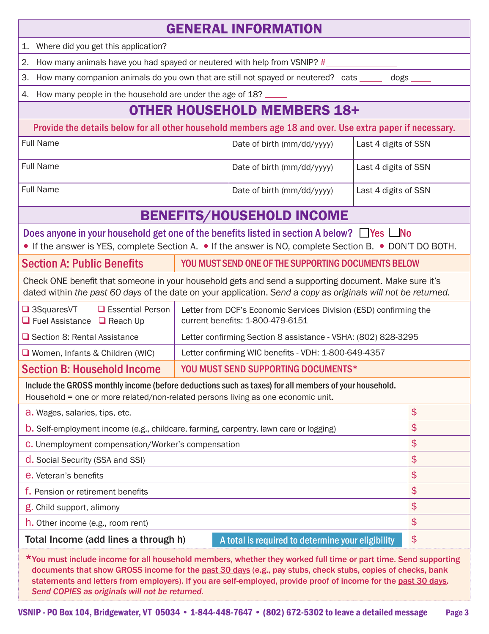| <b>GENERAL INFORMATION</b>                                                                                                                                                                                                                                                                                                                                                                          |                                                                   |                                                      |                      |    |  |  |  |  |  |
|-----------------------------------------------------------------------------------------------------------------------------------------------------------------------------------------------------------------------------------------------------------------------------------------------------------------------------------------------------------------------------------------------------|-------------------------------------------------------------------|------------------------------------------------------|----------------------|----|--|--|--|--|--|
| 1. Where did you get this application?                                                                                                                                                                                                                                                                                                                                                              |                                                                   |                                                      |                      |    |  |  |  |  |  |
| How many animals have you had spayed or neutered with help from VSNIP? #<br>2.                                                                                                                                                                                                                                                                                                                      |                                                                   |                                                      |                      |    |  |  |  |  |  |
| How many companion animals do you own that are still not spayed or neutered? cats _____<br>З.<br>dogs                                                                                                                                                                                                                                                                                               |                                                                   |                                                      |                      |    |  |  |  |  |  |
| How many people in the household are under the age of 18?<br>4.                                                                                                                                                                                                                                                                                                                                     |                                                                   |                                                      |                      |    |  |  |  |  |  |
| <b>OTHER HOUSEHOLD MEMBERS 18+</b>                                                                                                                                                                                                                                                                                                                                                                  |                                                                   |                                                      |                      |    |  |  |  |  |  |
| Provide the details below for all other household members age 18 and over. Use extra paper if necessary.                                                                                                                                                                                                                                                                                            |                                                                   |                                                      |                      |    |  |  |  |  |  |
| <b>Full Name</b>                                                                                                                                                                                                                                                                                                                                                                                    |                                                                   | Date of birth (mm/dd/yyyy)                           | Last 4 digits of SSN |    |  |  |  |  |  |
| <b>Full Name</b>                                                                                                                                                                                                                                                                                                                                                                                    |                                                                   | Date of birth (mm/dd/yyyy)                           | Last 4 digits of SSN |    |  |  |  |  |  |
| <b>Full Name</b>                                                                                                                                                                                                                                                                                                                                                                                    |                                                                   | Date of birth (mm/dd/yyyy)                           | Last 4 digits of SSN |    |  |  |  |  |  |
| <b>BENEFITS/HOUSEHOLD INCOME</b>                                                                                                                                                                                                                                                                                                                                                                    |                                                                   |                                                      |                      |    |  |  |  |  |  |
| Does anyone in your household get one of the benefits listed in section A below? □ Yes □ No<br>• If the answer is YES, complete Section A. • If the answer is NO, complete Section B. • DON'T DO BOTH.                                                                                                                                                                                              |                                                                   |                                                      |                      |    |  |  |  |  |  |
| <b>Section A: Public Benefits</b><br>YOU MUST SEND ONE OF THE SUPPORTING DOCUMENTS BELOW                                                                                                                                                                                                                                                                                                            |                                                                   |                                                      |                      |    |  |  |  |  |  |
| Check ONE benefit that someone in your household gets and send a supporting document. Make sure it's<br>dated within the past 60 days of the date on your application. Send a copy as originals will not be returned.                                                                                                                                                                               |                                                                   |                                                      |                      |    |  |  |  |  |  |
| $\Box$ 3SquaresVT<br>$\Box$ Essential Person<br>$\Box$ Fuel Assistance $\Box$ Reach Up                                                                                                                                                                                                                                                                                                              | Letter from DCF's Economic Services Division (ESD) confirming the |                                                      |                      |    |  |  |  |  |  |
| Section 8: Rental Assistance                                                                                                                                                                                                                                                                                                                                                                        | Letter confirming Section 8 assistance - VSHA: (802) 828-3295     |                                                      |                      |    |  |  |  |  |  |
| □ Women, Infants & Children (WIC)                                                                                                                                                                                                                                                                                                                                                                   |                                                                   | Letter confirming WIC benefits - VDH: 1-800-649-4357 |                      |    |  |  |  |  |  |
| <b>Section B: Household Income</b>                                                                                                                                                                                                                                                                                                                                                                  | YOU MUST SEND SUPPORTING DOCUMENTS*                               |                                                      |                      |    |  |  |  |  |  |
| Include the GROSS monthly income (before deductions such as taxes) for all members of your household.<br>Household = one or more related/non-related persons living as one economic unit.                                                                                                                                                                                                           |                                                                   |                                                      |                      |    |  |  |  |  |  |
| a. Wages, salaries, tips, etc.                                                                                                                                                                                                                                                                                                                                                                      |                                                                   |                                                      |                      |    |  |  |  |  |  |
| b. Self-employment income (e.g., childcare, farming, carpentry, lawn care or logging)                                                                                                                                                                                                                                                                                                               |                                                                   |                                                      |                      |    |  |  |  |  |  |
| C. Unemployment compensation/Worker's compensation                                                                                                                                                                                                                                                                                                                                                  |                                                                   |                                                      |                      |    |  |  |  |  |  |
| d. Social Security (SSA and SSI)                                                                                                                                                                                                                                                                                                                                                                    |                                                                   |                                                      |                      | \$ |  |  |  |  |  |
| e. Veteran's benefits                                                                                                                                                                                                                                                                                                                                                                               |                                                                   |                                                      |                      |    |  |  |  |  |  |
| f. Pension or retirement benefits                                                                                                                                                                                                                                                                                                                                                                   |                                                                   |                                                      |                      |    |  |  |  |  |  |
| g. Child support, alimony                                                                                                                                                                                                                                                                                                                                                                           |                                                                   |                                                      |                      |    |  |  |  |  |  |
| h. Other income (e.g., room rent)                                                                                                                                                                                                                                                                                                                                                                   |                                                                   |                                                      |                      |    |  |  |  |  |  |
| Total Income (add lines a through h)<br>A total is required to determine your eligibility                                                                                                                                                                                                                                                                                                           |                                                                   |                                                      |                      |    |  |  |  |  |  |
| *You must include income for all household members, whether they worked full time or part time. Send supporting<br>documents that show GROSS income for the past 30 days (e.g., pay stubs, check stubs, copies of checks, bank<br>statements and letters from employers). If you are self-employed, provide proof of income for the past 30 days.<br>Send COPIES as originals will not be returned. |                                                                   |                                                      |                      |    |  |  |  |  |  |